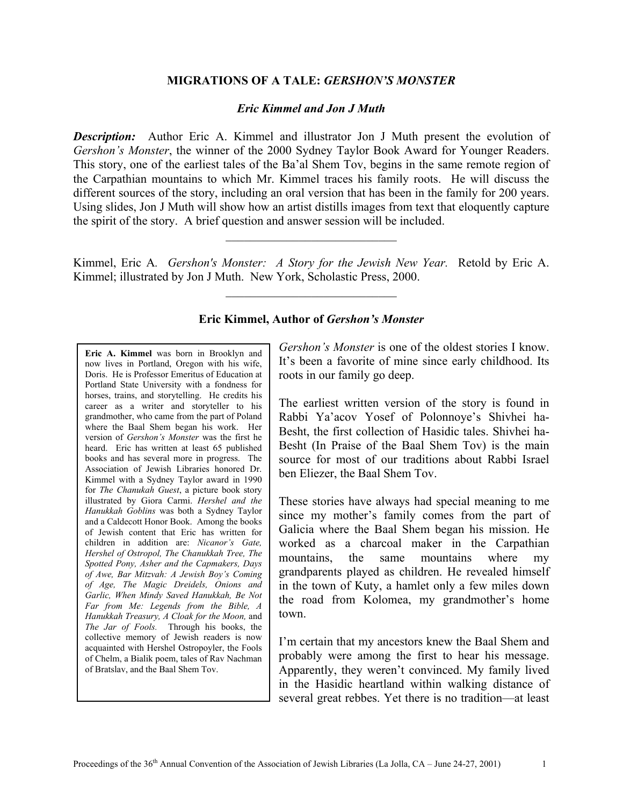## **MIGRATIONS OF A TALE:** *GERSHON'S MONSTER*

## *Eric Kimmel and Jon J Muth*

*Description:* Author Eric A. Kimmel and illustrator Jon J Muth present the evolution of *Gershon's Monster*, the winner of the 2000 Sydney Taylor Book Award for Younger Readers. This story, one of the earliest tales of the Ba'al Shem Tov, begins in the same remote region of the Carpathian mountains to which Mr. Kimmel traces his family roots. He will discuss the different sources of the story, including an oral version that has been in the family for 200 years. Using slides, Jon J Muth will show how an artist distills images from text that eloquently capture the spirit of the story. A brief question and answer session will be included.

Kimmel, Eric A*. Gershon's Monster: A Story for the Jewish New Year.* Retold by Eric A. Kimmel; illustrated by Jon J Muth. New York, Scholastic Press, 2000.

 $\mathcal{L}_\text{max}$  , where  $\mathcal{L}_\text{max}$  and  $\mathcal{L}_\text{max}$ 

 $\mathcal{L}_\text{max}$  , where  $\mathcal{L}_\text{max}$  and  $\mathcal{L}_\text{max}$ 

## **Eric Kimmel, Author of** *Gershon's Monster*

**Eric A. Kimmel** was born in Brooklyn and now lives in Portland, Oregon with his wife, Doris. He is Professor Emeritus of Education at Portland State University with a fondness for horses, trains, and storytelling. He credits his career as a writer and storyteller to his grandmother, who came from the part of Poland where the Baal Shem began his work. Her version of *Gershon's Monster* was the first he heard. Eric has written at least 65 published books and has several more in progress. The Association of Jewish Libraries honored Dr. Kimmel with a Sydney Taylor award in 1990 for *The Chanukah Guest*, a picture book story illustrated by Giora Carmi. *Hershel and the Hanukkah Goblins* was both a Sydney Taylor and a Caldecott Honor Book. Among the books of Jewish content that Eric has written for children in addition are: *Nicanor's Gate, Hershel of Ostropol, The Chanukkah Tree, The Spotted Pony, Asher and the Capmakers, Days of Awe, Bar Mitzvah: A Jewish Boy's Coming of Age, The Magic Dreidels, Onions and Garlic, When Mindy Saved Hanukkah, Be Not Far from Me: Legends from the Bible, A Hanukkah Treasury, A Cloak for the Moon,* and *The Jar of Fools.* Through his books, the collective memory of Jewish readers is now acquainted with Hershel Ostropoyler, the Fools of Chelm, a Bialik poem, tales of Rav Nachman of Bratslav, and the Baal Shem Tov.

*Gershon's Monster* is one of the oldest stories I know. It's been a favorite of mine since early childhood. Its roots in our family go deep.

The earliest written version of the story is found in Rabbi Ya'acov Yosef of Polonnoye's Shivhei ha-Besht, the first collection of Hasidic tales. Shivhei ha-Besht (In Praise of the Baal Shem Tov) is the main source for most of our traditions about Rabbi Israel ben Eliezer, the Baal Shem Tov.

These stories have always had special meaning to me since my mother's family comes from the part of Galicia where the Baal Shem began his mission. He worked as a charcoal maker in the Carpathian mountains, the same mountains where my grandparents played as children. He revealed himself in the town of Kuty, a hamlet only a few miles down the road from Kolomea, my grandmother's home town.

I'm certain that my ancestors knew the Baal Shem and probably were among the first to hear his message. Apparently, they weren't convinced. My family lived in the Hasidic heartland within walking distance of several great rebbes. Yet there is no tradition—at least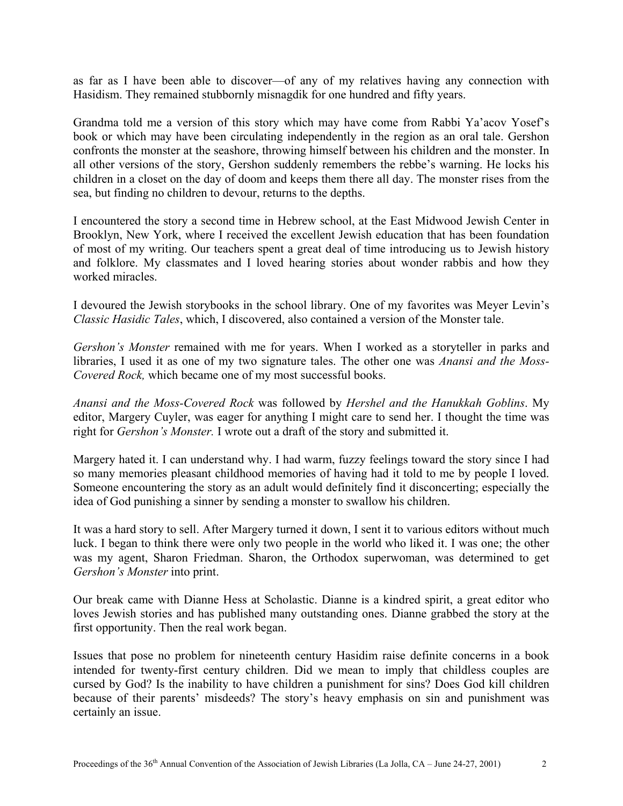as far as I have been able to discover—of any of my relatives having any connection with Hasidism. They remained stubbornly misnagdik for one hundred and fifty years.

Grandma told me a version of this story which may have come from Rabbi Ya'acov Yosef's book or which may have been circulating independently in the region as an oral tale. Gershon confronts the monster at the seashore, throwing himself between his children and the monster. In all other versions of the story, Gershon suddenly remembers the rebbe's warning. He locks his children in a closet on the day of doom and keeps them there all day. The monster rises from the sea, but finding no children to devour, returns to the depths.

I encountered the story a second time in Hebrew school, at the East Midwood Jewish Center in Brooklyn, New York, where I received the excellent Jewish education that has been foundation of most of my writing. Our teachers spent a great deal of time introducing us to Jewish history and folklore. My classmates and I loved hearing stories about wonder rabbis and how they worked miracles.

I devoured the Jewish storybooks in the school library. One of my favorites was Meyer Levin's *Classic Hasidic Tales*, which, I discovered, also contained a version of the Monster tale.

*Gershon's Monster* remained with me for years. When I worked as a storyteller in parks and libraries, I used it as one of my two signature tales. The other one was *Anansi and the Moss-Covered Rock,* which became one of my most successful books.

*Anansi and the Moss-Covered Rock* was followed by *Hershel and the Hanukkah Goblins*. My editor, Margery Cuyler, was eager for anything I might care to send her. I thought the time was right for *Gershon's Monster.* I wrote out a draft of the story and submitted it.

Margery hated it. I can understand why. I had warm, fuzzy feelings toward the story since I had so many memories pleasant childhood memories of having had it told to me by people I loved. Someone encountering the story as an adult would definitely find it disconcerting; especially the idea of God punishing a sinner by sending a monster to swallow his children.

It was a hard story to sell. After Margery turned it down, I sent it to various editors without much luck. I began to think there were only two people in the world who liked it. I was one; the other was my agent, Sharon Friedman. Sharon, the Orthodox superwoman, was determined to get *Gershon's Monster* into print.

Our break came with Dianne Hess at Scholastic. Dianne is a kindred spirit, a great editor who loves Jewish stories and has published many outstanding ones. Dianne grabbed the story at the first opportunity. Then the real work began.

Issues that pose no problem for nineteenth century Hasidim raise definite concerns in a book intended for twenty-first century children. Did we mean to imply that childless couples are cursed by God? Is the inability to have children a punishment for sins? Does God kill children because of their parents' misdeeds? The story's heavy emphasis on sin and punishment was certainly an issue.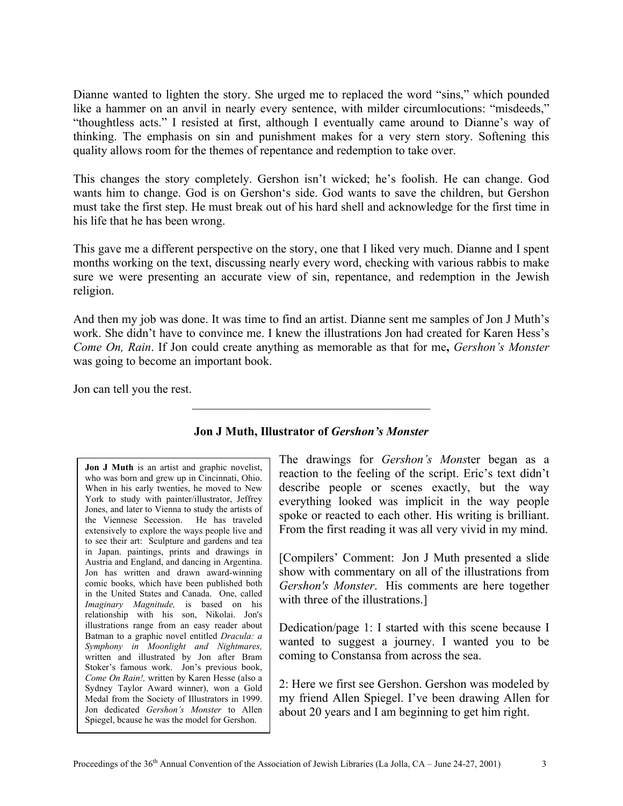Dianne wanted to lighten the story. She urged me to replaced the word "sins," which pounded like a hammer on an anvil in nearly every sentence, with milder circumlocutions: "misdeeds," "thoughtless acts." I resisted at first, although I eventually came around to Dianne's way of thinking. The emphasis on sin and punishment makes for a very stern story. Softening this quality allows room for the themes of repentance and redemption to take over.

This changes the story completely. Gershon isn't wicked; he's foolish. He can change. God wants him to change. God is on Gershon's side. God wants to save the children, but Gershon must take the first step. He must break out of his hard shell and acknowledge for the first time in his life that he has been wrong.

This gave me a different perspective on the story, one that I liked very much. Dianne and I spent months working on the text, discussing nearly every word, checking with various rabbis to make sure we were presenting an accurate view of sin, repentance, and redemption in the Jewish religion.

And then my job was done. It was time to find an artist. Dianne sent me samples of Jon J Muth's work. She didn't have to convince me. I knew the illustrations Jon had created for Karen Hess's *Come On, Rain*. If Jon could create anything as memorable as that for me**,** *Gershon's Monster* was going to become an important book.

Jon can tell you the rest.

| Jon J Muth is an artist and graphic novelist,                                             |
|-------------------------------------------------------------------------------------------|
| who was born and grew up in Cincinnati, Ohio.                                             |
| When in his early twenties, he moved to New                                               |
| York to study with painter/illustrator, Jeffrey                                           |
| Jones, and later to Vienna to study the artists of                                        |
| the Viennese Secession. He has traveled                                                   |
| extensively to explore the ways people live and                                           |
| to see their art: Sculpture and gardens and tea                                           |
| in Japan. paintings, prints and drawings in                                               |
| Austria and England, and dancing in Argentina.                                            |
| Jon has written and drawn award-winning                                                   |
| comic books, which have been published both                                               |
| in the United States and Canada. One, called                                              |
| <i>Imaginary Magnitude</i> , is based on his                                              |
| relationship with his son, Nikolai. Jon's                                                 |
| illustrations range from an easy reader about                                             |
| Batman to a graphic novel entitled Dracula: a                                             |
| Symphony in Moonlight and Nightmares,                                                     |
| written and illustrated by Jon after Bram                                                 |
| Stoker's famous work. Jon's previous book,                                                |
| Come On Rain!, written by Karen Hesse (also a                                             |
| Sydney Taylor Award winner), won a Gold                                                   |
| Medal from the Society of Illustrators in 1999.                                           |
|                                                                                           |
| Jon dedicated Gershon's Monster to Allen<br>Spiegel, bcause he was the model for Gershon. |
|                                                                                           |

## **Jon J Muth, Illustrator of** *Gershon's Monster*

\_\_\_\_\_\_\_\_\_\_\_\_\_\_\_\_\_\_\_\_\_\_\_\_\_\_\_\_\_\_\_\_\_\_\_\_\_\_\_

The drawings for *Gershon's Mons*ter began as a reaction to the feeling of the script. Eric's text didn't describe people or scenes exactly, but the way everything looked was implicit in the way people spoke or reacted to each other. His writing is brilliant. From the first reading it was all very vivid in my mind.

[Compilers' Comment: Jon J Muth presented a slide show with commentary on all of the illustrations from *Gershon's Monster*. His comments are here together with three of the illustrations.]

Dedication/page 1: I started with this scene because I wanted to suggest a journey. I wanted you to be coming to Constansa from across the sea.

2: Here we first see Gershon. Gershon was modeled by my friend Allen Spiegel. I've been drawing Allen for about 20 years and I am beginning to get him right.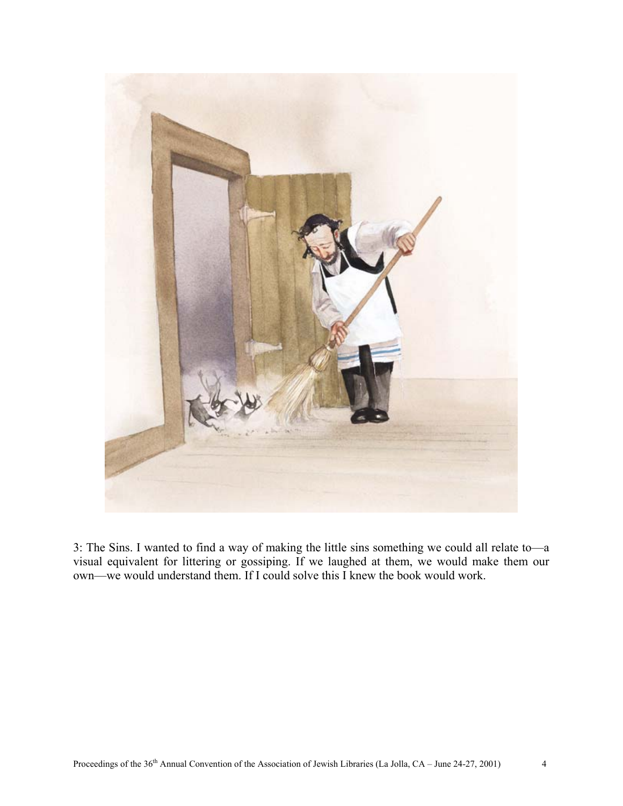

3: The Sins. I wanted to find a way of making the little sins something we could all relate to—a visual equivalent for littering or gossiping. If we laughed at them, we would make them our own—we would understand them. If I could solve this I knew the book would work.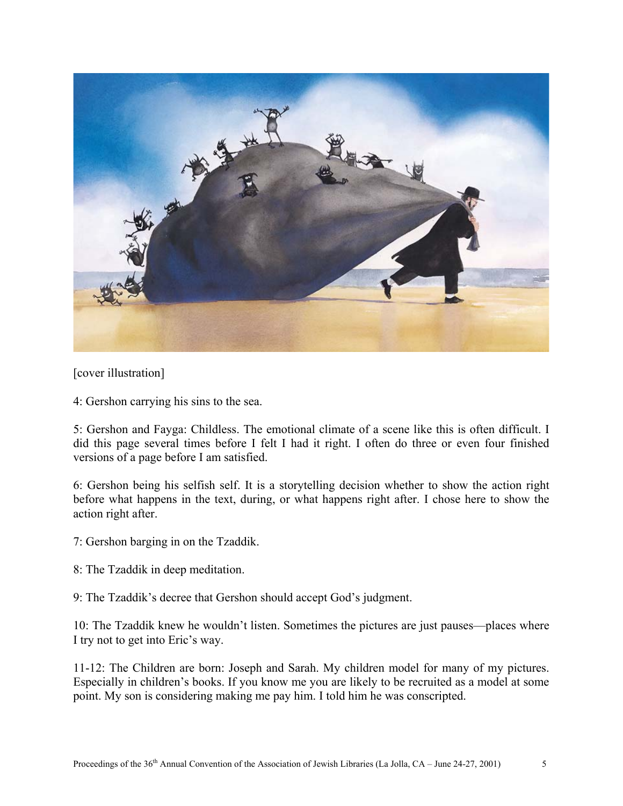

[cover illustration]

4: Gershon carrying his sins to the sea.

5: Gershon and Fayga: Childless. The emotional climate of a scene like this is often difficult. I did this page several times before I felt I had it right. I often do three or even four finished versions of a page before I am satisfied.

6: Gershon being his selfish self. It is a storytelling decision whether to show the action right before what happens in the text, during, or what happens right after. I chose here to show the action right after.

7: Gershon barging in on the Tzaddik.

8: The Tzaddik in deep meditation.

9: The Tzaddik's decree that Gershon should accept God's judgment.

10: The Tzaddik knew he wouldn't listen. Sometimes the pictures are just pauses—places where I try not to get into Eric's way.

11-12: The Children are born: Joseph and Sarah. My children model for many of my pictures. Especially in children's books. If you know me you are likely to be recruited as a model at some point. My son is considering making me pay him. I told him he was conscripted.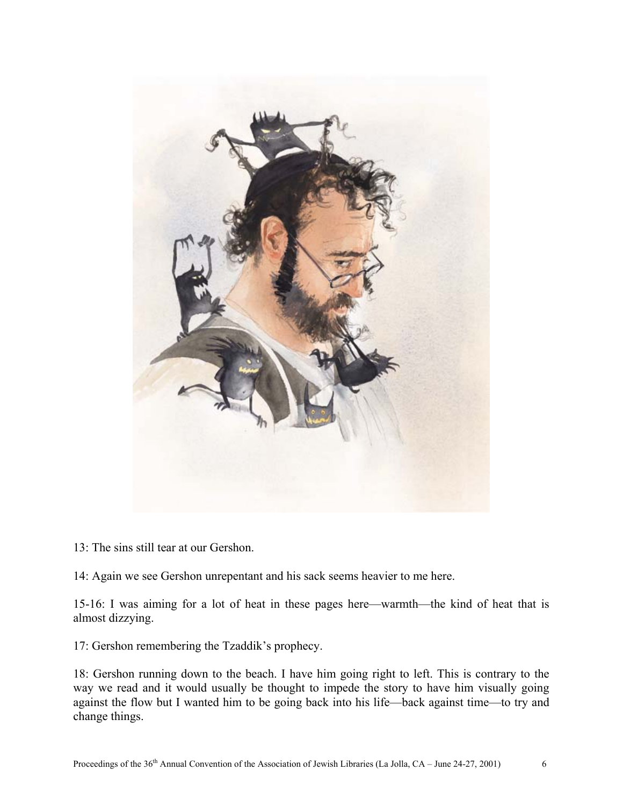

13: The sins still tear at our Gershon.

14: Again we see Gershon unrepentant and his sack seems heavier to me here.

15-16: I was aiming for a lot of heat in these pages here—warmth—the kind of heat that is almost dizzying.

17: Gershon remembering the Tzaddik's prophecy.

18: Gershon running down to the beach. I have him going right to left. This is contrary to the way we read and it would usually be thought to impede the story to have him visually going against the flow but I wanted him to be going back into his life—back against time—to try and change things.